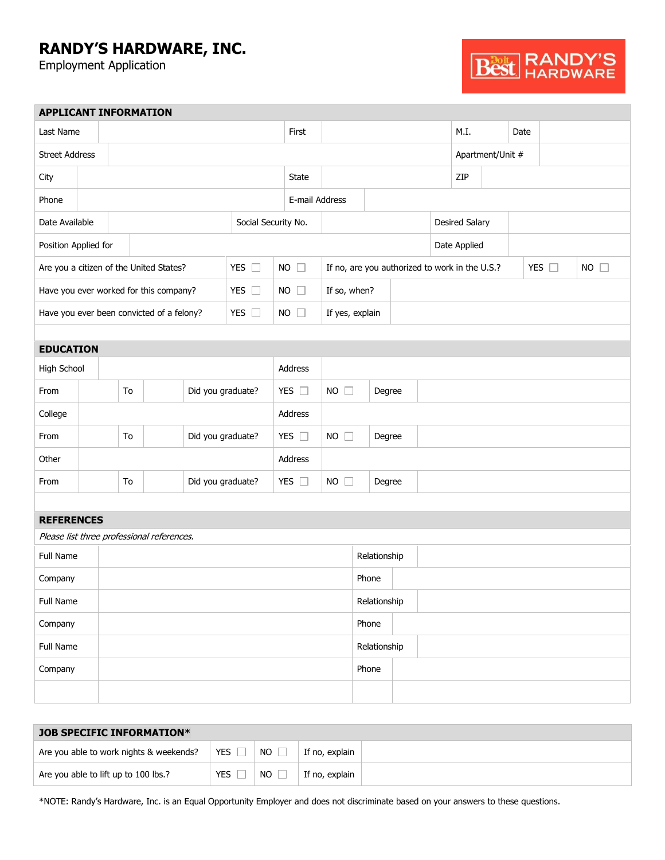## **RANDY'S HARDWARE, INC.**

Employment Application



|                       |    |                         | <b>APPLICANT INFORMATION</b>               |         |                     |                     |                       |                           |                                                |        |                       |  |  |  |               |                |
|-----------------------|----|-------------------------|--------------------------------------------|---------|---------------------|---------------------|-----------------------|---------------------------|------------------------------------------------|--------|-----------------------|--|--|--|---------------|----------------|
| Last Name             |    |                         |                                            | First   |                     |                     |                       | M.I.                      |                                                | Date   |                       |  |  |  |               |                |
| <b>Street Address</b> |    |                         |                                            |         |                     |                     |                       |                           |                                                |        | Apartment/Unit #      |  |  |  |               |                |
| City                  |    |                         |                                            |         |                     | State               |                       |                           |                                                |        | ZIP                   |  |  |  |               |                |
| Phone                 |    |                         |                                            |         |                     |                     | E-mail Address        |                           |                                                |        |                       |  |  |  |               |                |
| Date Available        |    |                         |                                            |         | Social Security No. |                     |                       |                           |                                                |        | <b>Desired Salary</b> |  |  |  |               |                |
| Position Applied for  |    |                         |                                            |         |                     |                     |                       |                           | Date Applied                                   |        |                       |  |  |  |               |                |
|                       |    |                         | Are you a citizen of the United States?    |         | YES $\square$       | <b>NO</b><br>$\Box$ |                       |                           | If no, are you authorized to work in the U.S.? |        |                       |  |  |  | YES $\square$ | $NO$ $\square$ |
|                       |    |                         | Have you ever worked for this company?     |         | YES $\square$       |                     | $NO$ $\Box$           | If so, when?              |                                                |        |                       |  |  |  |               |                |
|                       |    |                         | Have you ever been convicted of a felony?  |         | YES $\square$       |                     | $NO$ $\Box$           | If yes, explain           |                                                |        |                       |  |  |  |               |                |
|                       |    |                         |                                            |         |                     |                     |                       |                           |                                                |        |                       |  |  |  |               |                |
| <b>EDUCATION</b>      |    |                         |                                            |         |                     |                     |                       |                           |                                                |        |                       |  |  |  |               |                |
| High School           |    |                         |                                            | Address |                     |                     |                       |                           |                                                |        |                       |  |  |  |               |                |
| From                  |    | To                      |                                            |         | Did you graduate?   |                     | YES $\square$         | $NO$ $\Box$               | Degree                                         |        |                       |  |  |  |               |                |
| College               |    |                         |                                            |         |                     |                     | Address               |                           |                                                |        |                       |  |  |  |               |                |
| From                  | To |                         |                                            |         | Did you graduate?   |                     | YES $\square$         | <b>NO</b><br>$\mathbf{1}$ |                                                | Degree |                       |  |  |  |               |                |
| Other                 |    |                         |                                            |         |                     | Address             |                       |                           |                                                |        |                       |  |  |  |               |                |
| From                  |    | Did you graduate?<br>To |                                            |         |                     | YES $\square$       | $NO$ $\Box$<br>Degree |                           |                                                |        |                       |  |  |  |               |                |
|                       |    |                         |                                            |         |                     |                     |                       |                           |                                                |        |                       |  |  |  |               |                |
| <b>REFERENCES</b>     |    |                         |                                            |         |                     |                     |                       |                           |                                                |        |                       |  |  |  |               |                |
|                       |    |                         | Please list three professional references. |         |                     |                     |                       |                           |                                                |        |                       |  |  |  |               |                |
| Full Name             |    |                         |                                            |         |                     | Relationship        |                       |                           |                                                |        |                       |  |  |  |               |                |
| Company               |    |                         |                                            |         |                     |                     |                       |                           | Phone                                          |        |                       |  |  |  |               |                |
| Full Name             |    |                         |                                            |         | Relationship        |                     |                       |                           |                                                |        |                       |  |  |  |               |                |
| Company               |    |                         |                                            |         |                     | Phone               |                       |                           |                                                |        |                       |  |  |  |               |                |
| Full Name             |    |                         |                                            |         |                     | Relationship        |                       |                           |                                                |        |                       |  |  |  |               |                |
| Company               |    |                         |                                            |         |                     |                     |                       | Phone                     |                                                |        |                       |  |  |  |               |                |
|                       |    |                         |                                            |         |                     |                     |                       |                           |                                                |        |                       |  |  |  |               |                |
|                       |    |                         |                                            |         |                     |                     |                       |                           |                                                |        |                       |  |  |  |               |                |

| <b>JOB SPECIFIC INFORMATION*</b>        |            |     |                |  |  |  |  |  |  |
|-----------------------------------------|------------|-----|----------------|--|--|--|--|--|--|
| Are you able to work nights & weekends? | YES        | NO. | If no, explain |  |  |  |  |  |  |
| Are you able to lift up to 100 lbs.?    | <b>YES</b> | NO. | If no, explain |  |  |  |  |  |  |

\*NOTE: Randy's Hardware, Inc. is an Equal Opportunity Employer and does not discriminate based on your answers to these questions.